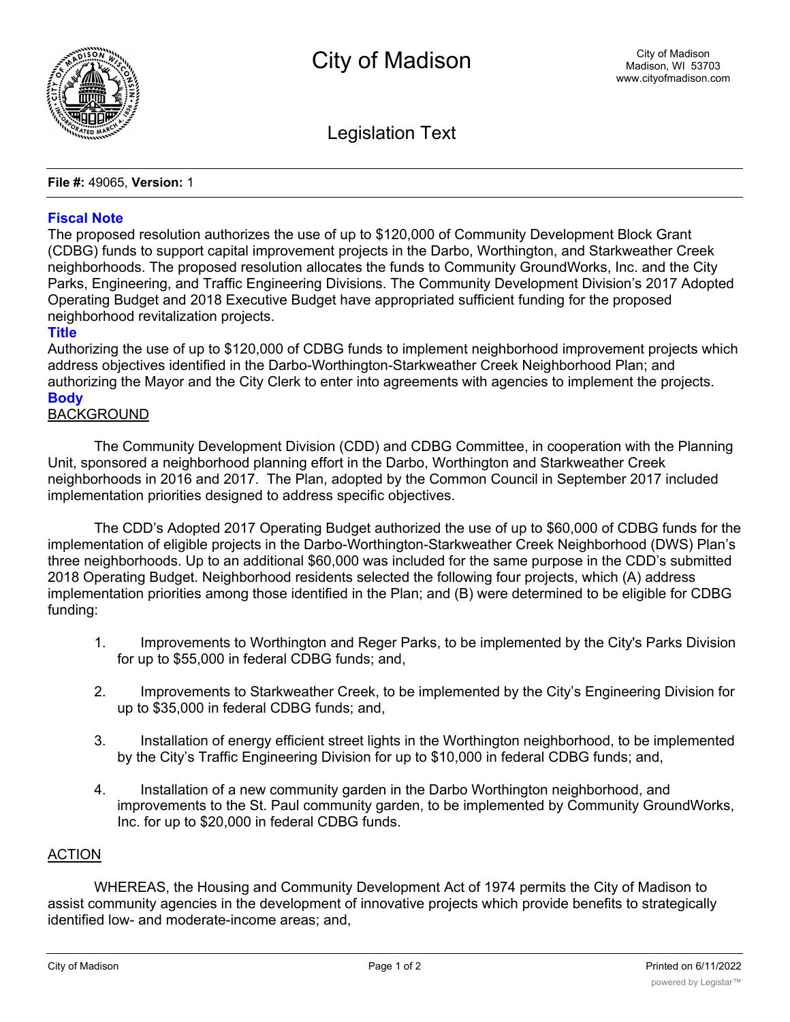

Legislation Text

**File #:** 49065, **Version:** 1

### **Fiscal Note**

The proposed resolution authorizes the use of up to \$120,000 of Community Development Block Grant (CDBG) funds to support capital improvement projects in the Darbo, Worthington, and Starkweather Creek neighborhoods. The proposed resolution allocates the funds to Community GroundWorks, Inc. and the City Parks, Engineering, and Traffic Engineering Divisions. The Community Development Division's 2017 Adopted Operating Budget and 2018 Executive Budget have appropriated sufficient funding for the proposed neighborhood revitalization projects.

## **Title**

Authorizing the use of up to \$120,000 of CDBG funds to implement neighborhood improvement projects which address objectives identified in the Darbo-Worthington-Starkweather Creek Neighborhood Plan; and authorizing the Mayor and the City Clerk to enter into agreements with agencies to implement the projects. **Body**

# BACKGROUND

The Community Development Division (CDD) and CDBG Committee, in cooperation with the Planning Unit, sponsored a neighborhood planning effort in the Darbo, Worthington and Starkweather Creek neighborhoods in 2016 and 2017. The Plan, adopted by the Common Council in September 2017 included implementation priorities designed to address specific objectives.

The CDD's Adopted 2017 Operating Budget authorized the use of up to \$60,000 of CDBG funds for the implementation of eligible projects in the Darbo-Worthington-Starkweather Creek Neighborhood (DWS) Plan's three neighborhoods. Up to an additional \$60,000 was included for the same purpose in the CDD's submitted 2018 Operating Budget. Neighborhood residents selected the following four projects, which (A) address implementation priorities among those identified in the Plan; and (B) were determined to be eligible for CDBG funding:

- 1. Improvements to Worthington and Reger Parks, to be implemented by the City's Parks Division for up to \$55,000 in federal CDBG funds; and,
- 2. Improvements to Starkweather Creek, to be implemented by the City's Engineering Division for up to \$35,000 in federal CDBG funds; and,
- 3. Installation of energy efficient street lights in the Worthington neighborhood, to be implemented by the City's Traffic Engineering Division for up to \$10,000 in federal CDBG funds; and,
- 4. Installation of a new community garden in the Darbo Worthington neighborhood, and improvements to the St. Paul community garden, to be implemented by Community GroundWorks, Inc. for up to \$20,000 in federal CDBG funds.

### ACTION

WHEREAS, the Housing and Community Development Act of 1974 permits the City of Madison to assist community agencies in the development of innovative projects which provide benefits to strategically identified low- and moderate-income areas; and,